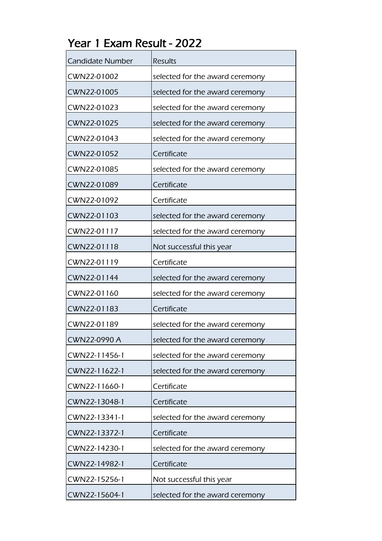| Candidate Number | <b>Results</b>                  |
|------------------|---------------------------------|
| CWN22-01002      | selected for the award ceremony |
| CWN22-01005      | selected for the award ceremony |
| CWN22-01023      | selected for the award ceremony |
| CWN22-01025      | selected for the award ceremony |
| CWN22-01043      | selected for the award ceremony |
| CWN22-01052      | Certificate                     |
| CWN22-01085      | selected for the award ceremony |
| CWN22-01089      | Certificate                     |
| CWN22-01092      | Certificate                     |
| CWN22-01103      | selected for the award ceremony |
| CWN22-01117      | selected for the award ceremony |
| CWN22-01118      | Not successful this year        |
| CWN22-01119      | Certificate                     |
| CWN22-01144      | selected for the award ceremony |
| CWN22-01160      | selected for the award ceremony |
| CWN22-01183      | Certificate                     |
| CWN22-01189      | selected for the award ceremony |
| CWN22-0990 A     | selected for the award ceremony |
| CWN22-11456-1    | selected for the award ceremony |
| CWN22-11622-1    | selected for the award ceremony |
| CWN22-11660-1    | Certificate                     |
| CWN22-13048-1    | Certificate                     |
| CWN22-13341-1    | selected for the award ceremony |
| CWN22-13372-1    | Certificate                     |
| CWN22-14230-1    | selected for the award ceremony |
| CWN22-14982-1    | Certificate                     |
| CWN22-15256-1    | Not successful this year        |
| CWN22-15604-1    | selected for the award ceremony |

Year 1 Exam Result - 2022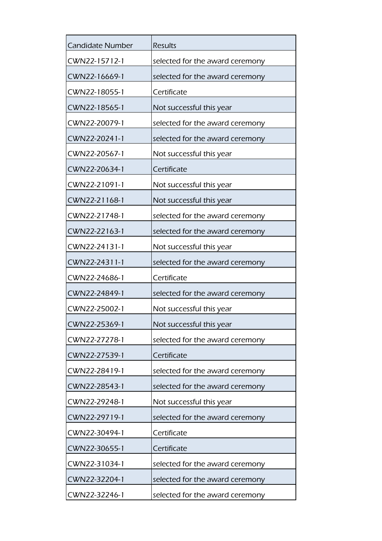| <b>Candidate Number</b> | <b>Results</b>                  |
|-------------------------|---------------------------------|
| CWN22-15712-1           | selected for the award ceremony |
| CWN22-16669-1           | selected for the award ceremony |
| CWN22-18055-1           | Certificate                     |
| CWN22-18565-1           | Not successful this year        |
| CWN22-20079-1           | selected for the award ceremony |
| CWN22-20241-1           | selected for the award ceremony |
| CWN22-20567-1           | Not successful this year        |
| CWN22-20634-1           | Certificate                     |
| CWN22-21091-1           | Not successful this year        |
| CWN22-21168-1           | Not successful this year        |
| CWN22-21748-1           | selected for the award ceremony |
| CWN22-22163-1           | selected for the award ceremony |
| CWN22-24131-1           | Not successful this year        |
| CWN22-24311-1           | selected for the award ceremony |
| CWN22-24686-1           | Certificate                     |
| CWN22-24849-1           | selected for the award ceremony |
| CWN22-25002-1           | Not successful this year        |
| CWN22-25369-1           | Not successful this year        |
| CWN22-27278-1           | selected for the award ceremony |
| CWN22-27539-1           | Certificate                     |
| CWN22-28419-1           | selected for the award ceremony |
| CWN22-28543-1           | selected for the award ceremony |
| CWN22-29248-1           | Not successful this year        |
| CWN22-29719-1           | selected for the award ceremony |
| CWN22-30494-1           | Certificate                     |
| CWN22-30655-1           | Certificate                     |
| CWN22-31034-1           | selected for the award ceremony |
| CWN22-32204-1           | selected for the award ceremony |
| CWN22-32246-1           | selected for the award ceremony |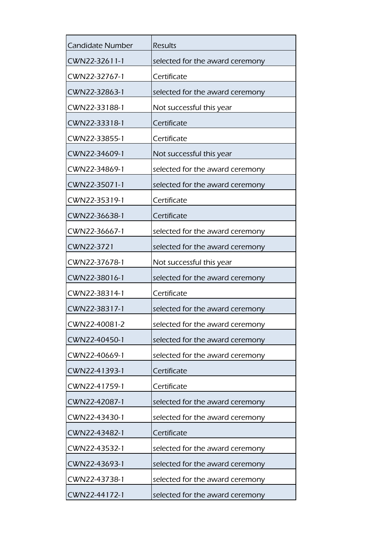| <b>Results</b>                  |
|---------------------------------|
| selected for the award ceremony |
| Certificate                     |
| selected for the award ceremony |
| Not successful this year        |
| Certificate                     |
| Certificate                     |
| Not successful this year        |
| selected for the award ceremony |
| selected for the award ceremony |
| Certificate                     |
| Certificate                     |
| selected for the award ceremony |
| selected for the award ceremony |
| Not successful this year        |
| selected for the award ceremony |
| Certificate                     |
| selected for the award ceremony |
| selected for the award ceremony |
| selected for the award ceremony |
| selected for the award ceremony |
| Certificate                     |
| Certificate                     |
| selected for the award ceremony |
| selected for the award ceremony |
| Certificate                     |
| selected for the award ceremony |
| selected for the award ceremony |
| selected for the award ceremony |
| selected for the award ceremony |
|                                 |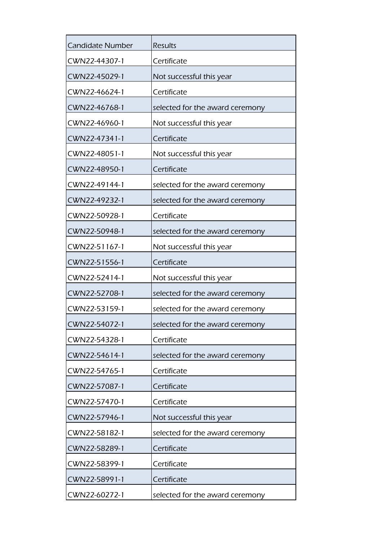| <b>Candidate Number</b> | <b>Results</b>                  |
|-------------------------|---------------------------------|
| CWN22-44307-1           | Certificate                     |
| CWN22-45029-1           | Not successful this year        |
| CWN22-46624-1           | Certificate                     |
| CWN22-46768-1           | selected for the award ceremony |
| CWN22-46960-1           | Not successful this year        |
| CWN22-47341-1           | Certificate                     |
| CWN22-48051-1           | Not successful this year        |
| CWN22-48950-1           | Certificate                     |
| CWN22-49144-1           | selected for the award ceremony |
| CWN22-49232-1           | selected for the award ceremony |
| CWN22-50928-1           | Certificate                     |
| CWN22-50948-1           | selected for the award ceremony |
| CWN22-51167-1           | Not successful this year        |
| CWN22-51556-1           | Certificate                     |
| CWN22-52414-1           | Not successful this year        |
| CWN22-52708-1           | selected for the award ceremony |
| CWN22-53159-1           | selected for the award ceremony |
| CWN22-54072-1           | selected for the award ceremony |
| CWN22-54328-1           | Certificate                     |
| CWN22-54614-1           | selected for the award ceremony |
| CWN22-54765-1           | Certificate                     |
| CWN22-57087-1           | Certificate                     |
| CWN22-57470-1           | Certificate                     |
| CWN22-57946-1           | Not successful this year        |
| CWN22-58182-1           | selected for the award ceremony |
| CWN22-58289-1           | Certificate                     |
| CWN22-58399-1           | Certificate                     |
| CWN22-58991-1           | Certificate                     |
| CWN22-60272-1           | selected for the award ceremony |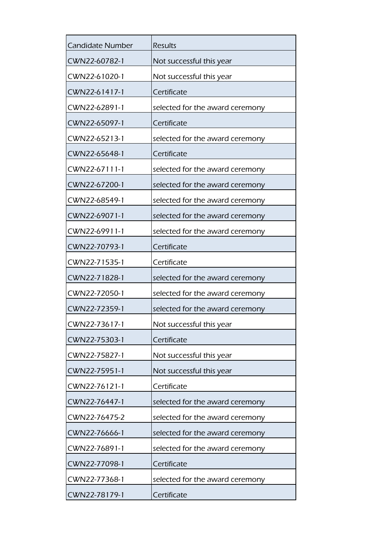| <b>Candidate Number</b> | <b>Results</b>                  |
|-------------------------|---------------------------------|
| CWN22-60782-1           | Not successful this year        |
| CWN22-61020-1           | Not successful this year        |
| CWN22-61417-1           | Certificate                     |
| CWN22-62891-1           | selected for the award ceremony |
| CWN22-65097-1           | Certificate                     |
| CWN22-65213-1           | selected for the award ceremony |
| CWN22-65648-1           | Certificate                     |
| CWN22-67111-1           | selected for the award ceremony |
| CWN22-67200-1           | selected for the award ceremony |
| CWN22-68549-1           | selected for the award ceremony |
| CWN22-69071-1           | selected for the award ceremony |
| CWN22-69911-1           | selected for the award ceremony |
| CWN22-70793-1           | Certificate                     |
| CWN22-71535-1           | Certificate                     |
| CWN22-71828-1           | selected for the award ceremony |
| CWN22-72050-1           | selected for the award ceremony |
| CWN22-72359-1           | selected for the award ceremony |
| CWN22-73617-1           | Not successful this year        |
| CWN22-75303-1           | Certificate                     |
| CWN22-75827-1           | Not successful this year        |
| CWN22-75951-1           | Not successful this year        |
| CWN22-76121-1           | Certificate                     |
| CWN22-76447-1           | selected for the award ceremony |
| CWN22-76475-2           | selected for the award ceremony |
| CWN22-76666-1           | selected for the award ceremony |
| CWN22-76891-1           | selected for the award ceremony |
| CWN22-77098-1           | Certificate                     |
| CWN22-77368-1           | selected for the award ceremony |
| CWN22-78179-1           | Certificate                     |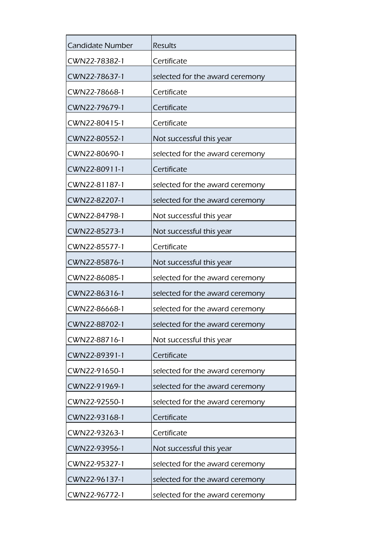| <b>Candidate Number</b> | <b>Results</b>                  |
|-------------------------|---------------------------------|
| CWN22-78382-1           | Certificate                     |
| CWN22-78637-1           | selected for the award ceremony |
| CWN22-78668-1           | Certificate                     |
| CWN22-79679-1           | Certificate                     |
| CWN22-80415-1           | Certificate                     |
| CWN22-80552-1           | Not successful this year        |
| CWN22-80690-1           | selected for the award ceremony |
| CWN22-80911-1           | Certificate                     |
| CWN22-81187-1           | selected for the award ceremony |
| CWN22-82207-1           | selected for the award ceremony |
| CWN22-84798-1           | Not successful this year        |
| CWN22-85273-1           | Not successful this year        |
| CWN22-85577-1           | Certificate                     |
| CWN22-85876-1           | Not successful this year        |
| CWN22-86085-1           | selected for the award ceremony |
| CWN22-86316-1           | selected for the award ceremony |
| CWN22-86668-1           | selected for the award ceremony |
| CWN22-88702-1           | selected for the award ceremony |
| CWN22-88716-1           | Not successful this year        |
| CWN22-89391-1           | Certificate                     |
| CWN22-91650-1           | selected for the award ceremony |
| CWN22-91969-1           | selected for the award ceremony |
| CWN22-92550-1           | selected for the award ceremony |
| CWN22-93168-1           | Certificate                     |
| CWN22-93263-1           | Certificate                     |
| CWN22-93956-1           | Not successful this year        |
| CWN22-95327-1           | selected for the award ceremony |
| CWN22-96137-1           | selected for the award ceremony |
| CWN22-96772-1           | selected for the award ceremony |